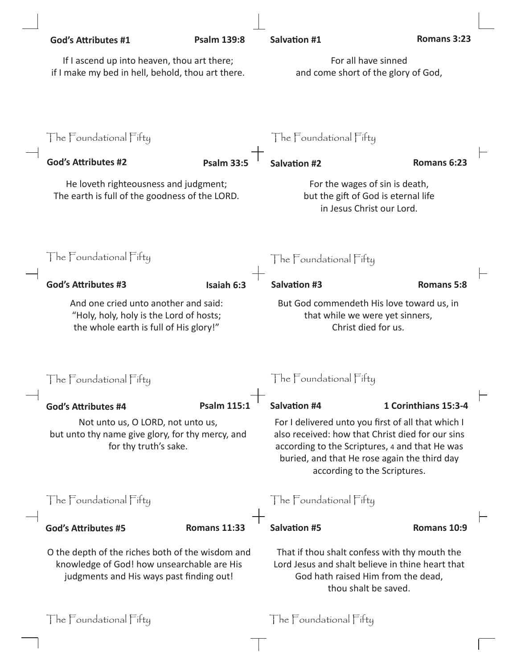| <b>God's Attributes #1</b>                                                                                                                 | <b>Psalm 139:8</b>  | <b>Salvation #1</b>                                                                                                                                                                                                                      | Romans 3:23          |  |
|--------------------------------------------------------------------------------------------------------------------------------------------|---------------------|------------------------------------------------------------------------------------------------------------------------------------------------------------------------------------------------------------------------------------------|----------------------|--|
| If I ascend up into heaven, thou art there;<br>if I make my bed in hell, behold, thou art there.                                           |                     | For all have sinned<br>and come short of the glory of God,                                                                                                                                                                               |                      |  |
| The Foundational Fifty                                                                                                                     |                     | The Foundational Fifty                                                                                                                                                                                                                   |                      |  |
| <b>God's Attributes #2</b>                                                                                                                 | Psalm 33            | Salvation #2                                                                                                                                                                                                                             | Romans 6:23          |  |
| He loveth righteousness and judgment;<br>The earth is full of the goodness of the LORD.                                                    |                     | For the wages of sin is death,<br>but the gift of God is eternal life<br>in Jesus Christ our Lord.                                                                                                                                       |                      |  |
| The Foundational Fifty                                                                                                                     |                     | The Foundational Fifty                                                                                                                                                                                                                   |                      |  |
| <b>God's Attributes #3</b>                                                                                                                 | Isaiah 6:3          | <b>Salvation #3</b>                                                                                                                                                                                                                      | <b>Romans 5:8</b>    |  |
| And one cried unto another and said:<br>"Holy, holy, holy is the Lord of hosts;<br>the whole earth is full of His glory!"                  |                     | But God commendeth His love toward us, in<br>that while we were yet sinners,<br>Christ died for us.                                                                                                                                      |                      |  |
| The $\sqGamma$ oundational $\sqGamma$ ifty                                                                                                 |                     | The $\sqGamma$ oundational $\sqGamma$ ifty                                                                                                                                                                                               |                      |  |
| <b>God's Attributes #4</b>                                                                                                                 | Psalm 115           | <b>Salvation #4</b>                                                                                                                                                                                                                      | 1 Corinthians 15:3-4 |  |
| Not unto us, O LORD, not unto us,<br>but unto thy name give glory, for thy mercy, and<br>for thy truth's sake.                             |                     | For I delivered unto you first of all that which I<br>also received: how that Christ died for our sins<br>according to the Scriptures, 4 and that He was<br>buried, and that He rose again the third day<br>according to the Scriptures. |                      |  |
| The Foundational Fifty                                                                                                                     |                     | The Foundational Fifty                                                                                                                                                                                                                   |                      |  |
| <b>God's Attributes #5</b>                                                                                                                 | <b>Romans 11:33</b> | <b>Salvation #5</b>                                                                                                                                                                                                                      | Romans 10:9          |  |
| O the depth of the riches both of the wisdom and<br>knowledge of God! how unsearchable are His<br>judgments and His ways past finding out! |                     | That if thou shalt confess with thy mouth the<br>Lord Jesus and shalt believe in thine heart that<br>God hath raised Him from the dead,<br>thou shalt be saved.                                                                          |                      |  |
| The Foundational Fifty                                                                                                                     |                     | The Foundational Fifty                                                                                                                                                                                                                   |                      |  |

 $\mathbb{R}^n$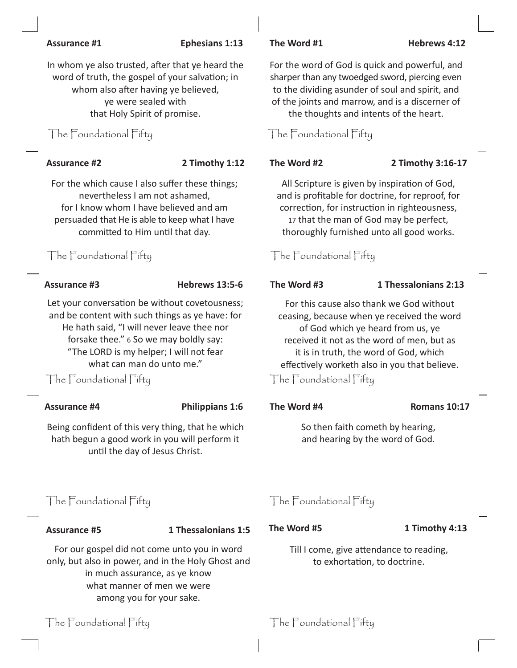### **Assurance #1 Ephesians 1:13 The Word #1 Hebrews 4:12**

In whom ye also trusted, after that ye heard the word of truth, the gospel of your salvation; in whom also after having ye believed, ye were sealed with that Holy Spirit of promise.

For the which cause I also suffer these things; nevertheless I am not ashamed, for I know whom I have believed and am persuaded that He is able to keep what I have committed to Him until that day.

Let your conversation be without covetousness; and be content with such things as ye have: for He hath said, "I will never leave thee nor forsake thee." 6 So we may boldly say: "The LORD is my helper; I will not fear what can man do unto me."

The  $\Box$ Foundational Fifty  $\Box$  The  $\Box$  The Foundational Fifty

### **Assurance #4 Philippians 1:6 The Word #4 Romans 10:17**

Being confident of this very thing, that he which hath begun a good work in you will perform it until the day of Jesus Christ.

# The Foundational Fifty The Foundational Fifty

### **Assurance #5 1 Thessalonians 1:5**

For our gospel did not come unto you in word only, but also in power, and in the Holy Ghost and in much assurance, as ye know what manner of men we were among you for your sake.

## The Foundational Fifty The Foundational Fifty

## For the word of God is quick and powerful, and sharper than any twoedged sword, piercing even to the dividing asunder of soul and spirit, and of the joints and marrow, and is a discerner of the thoughts and intents of the heart.

## The Foundational Fifty The Foundational Fifty

### **Assurance #2 2 Timothy 1:12 The Word #2 2 Timothy 3:16-17**

All Scripture is given by inspiration of God, and is profitable for doctrine, for reproof, for correction, for instruction in righteousness, 17 that the man of God may be perfect, thoroughly furnished unto all good works.

## The Foundational Fifty The Foundational Fifty

### **Assurance #3 Hebrews 13:5-6 The Word #3 1 Thessalonians 2:13**

For this cause also thank we God without ceasing, because when ye received the word of God which ye heard from us, ye received it not as the word of men, but as it is in truth, the word of God, which effectively worketh also in you that believe.

So then faith cometh by hearing, and hearing by the word of God.

### **The Word #5 1 Timothy 4:13**

Till I come, give attendance to reading, to exhortation, to doctrine.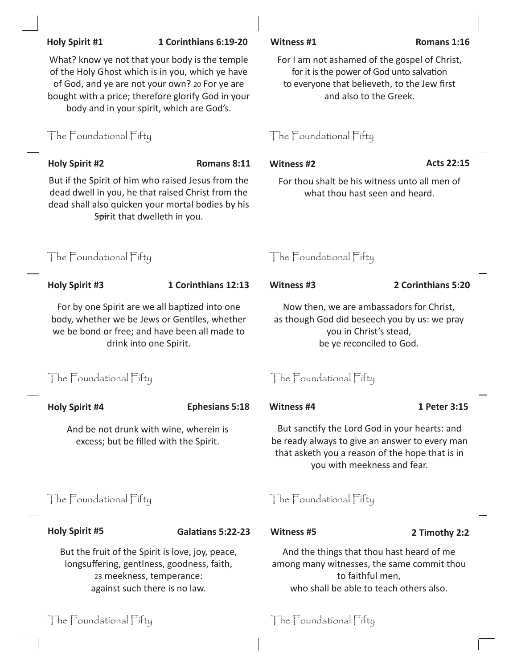| What? know ye not that your body is the temple<br>of the Holy Ghost which is in you, which ye have<br>of God, and ye are not your own? 20 For ye are<br>bought with a price; therefore glorify God in your<br>body and in your spirit, which are God's. |                          | For I am not ashamed of the gospel of Christ,<br>for it is the power of God unto salvation<br>to everyone that believeth, to the Jew first<br>and also to the Greek.              |                    |  |
|---------------------------------------------------------------------------------------------------------------------------------------------------------------------------------------------------------------------------------------------------------|--------------------------|-----------------------------------------------------------------------------------------------------------------------------------------------------------------------------------|--------------------|--|
| The Foundational Fifty                                                                                                                                                                                                                                  |                          | The Foundational Fifty                                                                                                                                                            |                    |  |
| <b>Holy Spirit #2</b>                                                                                                                                                                                                                                   | Romans 8:11              | <b>Witness #2</b>                                                                                                                                                                 | <b>Acts 22:15</b>  |  |
| But if the Spirit of him who raised Jesus from the<br>dead dwell in you, he that raised Christ from the<br>dead shall also quicken your mortal bodies by his<br>Spirit that dwelleth in you.                                                            |                          | For thou shalt be his witness unto all men of<br>what thou hast seen and heard.                                                                                                   |                    |  |
| The Foundational Fifty                                                                                                                                                                                                                                  |                          | The Foundational Fifty                                                                                                                                                            |                    |  |
| <b>Holy Spirit #3</b>                                                                                                                                                                                                                                   | 1 Corinthians 12:13      | <b>Witness #3</b>                                                                                                                                                                 | 2 Corinthians 5:20 |  |
| For by one Spirit are we all baptized into one<br>body, whether we be Jews or Gentiles, whether<br>we be bond or free; and have been all made to<br>drink into one Spirit.                                                                              |                          | Now then, we are ambassadors for Christ,<br>as though God did beseech you by us: we pray<br>you in Christ's stead,<br>be ye reconciled to God.                                    |                    |  |
| The Foundational Fifty                                                                                                                                                                                                                                  |                          | The Foundational Fifty                                                                                                                                                            |                    |  |
| <b>Holy Spirit #4</b>                                                                                                                                                                                                                                   | <b>Ephesians 5:18</b>    | Witness #4                                                                                                                                                                        | 1 Peter 3:15       |  |
| And be not drunk with wine, wherein is<br>excess; but be filled with the Spirit.                                                                                                                                                                        |                          | But sanctify the Lord God in your hearts: and<br>be ready always to give an answer to every man<br>that asketh you a reason of the hope that is in<br>you with meekness and fear. |                    |  |
| The Foundational Fifty                                                                                                                                                                                                                                  |                          | The Foundational Fifty                                                                                                                                                            |                    |  |
| <b>Holy Spirit #5</b>                                                                                                                                                                                                                                   | <b>Galatians 5:22-23</b> | <b>Witness #5</b>                                                                                                                                                                 | 2 Timothy 2:2      |  |
| But the fruit of the Spirit is love, joy, peace,<br>longsuffering, gentlness, goodness, faith,<br>23 meekness, temperance:<br>against such there is no law.                                                                                             |                          | And the things that thou hast heard of me<br>among many witnesses, the same commit thou<br>to faithful men,<br>who shall be able to teach others also.                            |                    |  |

**Holy Spirit #1 1 Corinthians 6:19-20 Witness #1 Romans 1:16**

The Foundational Fifty The Foundational Fifty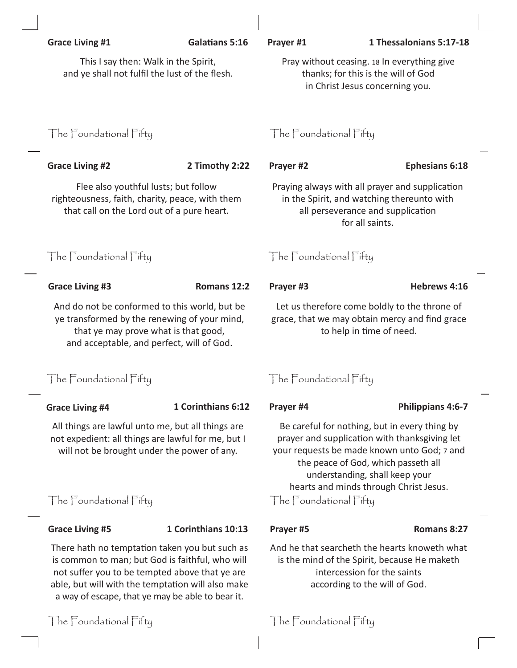| <b>Grace Living #1</b>                                                                                                                                                                                                                                       | <b>Galatians 5:16</b>                                                                                                                                                                                        | Prayer #1                                                                                                                                                     | 1 Thessalonians 5:17-18                                                                                                                                                                                                                                                                    |  |  |
|--------------------------------------------------------------------------------------------------------------------------------------------------------------------------------------------------------------------------------------------------------------|--------------------------------------------------------------------------------------------------------------------------------------------------------------------------------------------------------------|---------------------------------------------------------------------------------------------------------------------------------------------------------------|--------------------------------------------------------------------------------------------------------------------------------------------------------------------------------------------------------------------------------------------------------------------------------------------|--|--|
|                                                                                                                                                                                                                                                              | This I say then: Walk in the Spirit,<br>and ye shall not fulfil the lust of the flesh.                                                                                                                       |                                                                                                                                                               | Pray without ceasing. 18 In everything give<br>thanks; for this is the will of God<br>in Christ Jesus concerning you.                                                                                                                                                                      |  |  |
|                                                                                                                                                                                                                                                              | The Foundational Fifty                                                                                                                                                                                       |                                                                                                                                                               | The Foundational Fifty                                                                                                                                                                                                                                                                     |  |  |
| <b>Grace Living #2</b>                                                                                                                                                                                                                                       | 2 Timothy 2:22                                                                                                                                                                                               | Prayer #2                                                                                                                                                     | <b>Ephesians 6:18</b>                                                                                                                                                                                                                                                                      |  |  |
|                                                                                                                                                                                                                                                              | Flee also youthful lusts; but follow<br>righteousness, faith, charity, peace, with them<br>that call on the Lord out of a pure heart.<br>The Foundational Fifty                                              |                                                                                                                                                               | Praying always with all prayer and supplication<br>in the Spirit, and watching thereunto with<br>all perseverance and supplication<br>for all saints.                                                                                                                                      |  |  |
|                                                                                                                                                                                                                                                              |                                                                                                                                                                                                              |                                                                                                                                                               | The Foundational Fifty                                                                                                                                                                                                                                                                     |  |  |
| <b>Grace Living #3</b>                                                                                                                                                                                                                                       | Romans 12:2                                                                                                                                                                                                  | Prayer #3                                                                                                                                                     | Hebrews 4:16                                                                                                                                                                                                                                                                               |  |  |
|                                                                                                                                                                                                                                                              | And do not be conformed to this world, but be<br>ye transformed by the renewing of your mind,<br>that ye may prove what is that good,<br>and acceptable, and perfect, will of God.<br>The Foundational Fifty |                                                                                                                                                               | Let us therefore come boldly to the throne of<br>grace, that we may obtain mercy and find grace<br>to help in time of need.                                                                                                                                                                |  |  |
|                                                                                                                                                                                                                                                              |                                                                                                                                                                                                              |                                                                                                                                                               | The Foundational Fifty                                                                                                                                                                                                                                                                     |  |  |
| <b>Grace Living #4</b>                                                                                                                                                                                                                                       | 1 Corinthians 6:12                                                                                                                                                                                           | Prayer #4                                                                                                                                                     | <b>Philippians 4:6-7</b>                                                                                                                                                                                                                                                                   |  |  |
|                                                                                                                                                                                                                                                              | All things are lawful unto me, but all things are<br>not expedient: all things are lawful for me, but I<br>will not be brought under the power of any.                                                       |                                                                                                                                                               | Be careful for nothing, but in every thing by<br>prayer and supplication with thanksgiving let<br>your requests be made known unto God; 7 and<br>the peace of God, which passeth all<br>understanding, shall keep your<br>hearts and minds through Christ Jesus.<br>The Foundational Fifty |  |  |
| The Foundational Fifty                                                                                                                                                                                                                                       |                                                                                                                                                                                                              |                                                                                                                                                               |                                                                                                                                                                                                                                                                                            |  |  |
| <b>Grace Living #5</b>                                                                                                                                                                                                                                       | 1 Corinthians 10:13                                                                                                                                                                                          | Prayer #5                                                                                                                                                     | Romans 8:27                                                                                                                                                                                                                                                                                |  |  |
| There hath no temptation taken you but such as<br>is common to man; but God is faithful, who will<br>not suffer you to be tempted above that ye are<br>able, but will with the temptation will also make<br>a way of escape, that ye may be able to bear it. |                                                                                                                                                                                                              | And he that searcheth the hearts knoweth what<br>is the mind of the Spirit, because He maketh<br>intercession for the saints<br>according to the will of God. |                                                                                                                                                                                                                                                                                            |  |  |

The Foundational Fifty The Foundational Fifty